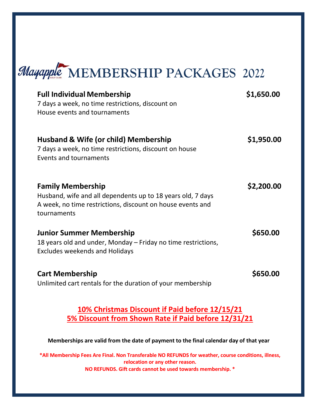

| <b>Full Individual Membership</b><br>7 days a week, no time restrictions, discount on<br>House events and tournaments                                                | \$1,650.00 |
|----------------------------------------------------------------------------------------------------------------------------------------------------------------------|------------|
| Husband & Wife (or child) Membership<br>7 days a week, no time restrictions, discount on house<br>Events and tournaments                                             | \$1,950.00 |
| <b>Family Membership</b><br>Husband, wife and all dependents up to 18 years old, 7 days<br>A week, no time restrictions, discount on house events and<br>tournaments | \$2,200.00 |
| <b>Junior Summer Membership</b><br>18 years old and under, Monday – Friday no time restrictions,<br><b>Excludes weekends and Holidays</b>                            | \$650.00   |
| <b>Cart Membership</b><br>Unlimited cart rentals for the duration of your membership                                                                                 | \$650.00   |

## **10% Christmas Discount if Paid before 12/15/21 5% Discount from Shown Rate if Paid before 12/31/21**

**Memberships are valid from the date of payment to the final calendar day of that year**

**\*All Membership Fees Are Final. Non Transferable NO REFUNDS for weather, course conditions, illness, relocation or any other reason. NO REFUNDS. Gift cards cannot be used towards membership. \***